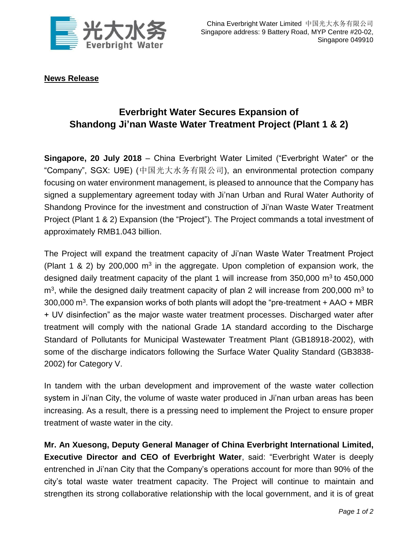

**News Release**

## **Everbright Water Secures Expansion of Shandong Ji'nan Waste Water Treatment Project (Plant 1 & 2)**

**Singapore, 20 July 2018** – China Everbright Water Limited ("Everbright Water" or the "Company", SGX: U9E) (中国光大水务有限公司), an environmental protection company focusing on water environment management, is pleased to announce that the Company has signed a supplementary agreement today with Ji'nan Urban and Rural Water Authority of Shandong Province for the investment and construction of Ji'nan Waste Water Treatment Project (Plant 1 & 2) Expansion (the "Project"). The Project commands a total investment of approximately RMB1.043 billion.

The Project will expand the treatment capacity of Ji'nan Waste Water Treatment Project (Plant 1 & 2) by 200,000  $m<sup>3</sup>$  in the aggregate. Upon completion of expansion work, the designed daily treatment capacity of the plant 1 will increase from 350,000  $\text{m}^3$  to 450,000  $m<sup>3</sup>$ , while the designed daily treatment capacity of plan 2 will increase from 200,000  $m<sup>3</sup>$  to 300,000  $\text{m}^3$ . The expansion works of both plants will adopt the "pre-treatment + AAO + MBR + UV disinfection" as the major waste water treatment processes. Discharged water after treatment will comply with the national Grade 1A standard according to the Discharge Standard of Pollutants for Municipal Wastewater Treatment Plant (GB18918-2002), with some of the discharge indicators following the Surface Water Quality Standard (GB3838- 2002) for Category V.

In tandem with the urban development and improvement of the waste water collection system in Ji'nan City, the volume of waste water produced in Ji'nan urban areas has been increasing. As a result, there is a pressing need to implement the Project to ensure proper treatment of waste water in the city.

**Mr. An Xuesong, Deputy General Manager of China Everbright International Limited, Executive Director and CEO of Everbright Water**, said: "Everbright Water is deeply entrenched in Ji'nan City that the Company's operations account for more than 90% of the city's total waste water treatment capacity. The Project will continue to maintain and strengthen its strong collaborative relationship with the local government, and it is of great